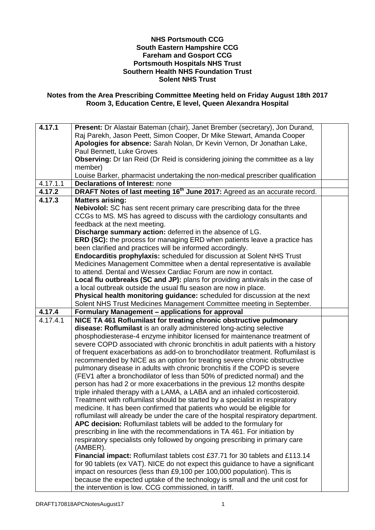## **NHS Portsmouth CCG South Eastern Hampshire CCG Fareham and Gosport CCG Portsmouth Hospitals NHS Trust Southern Health NHS Foundation Trust Solent NHS Trust**

## **Notes from the Area Prescribing Committee Meeting held on Friday August 18th 2017 Room 3, Education Centre, E level, Queen Alexandra Hospital**

| <b>Matters arising:</b>                                                         |                                                                                                                                                                                                                                                                                                                                                                                                                                                                                                                                                                                                                                                                                                                                                                                                                                                                                                                                                                                                                                                                                                                                                                                                                                                                                                                                                                                                                                                                                                                                                                                                                                                                                                                                                                                                                                                                                                                                                                                                                                                                                                                                                                              |
|---------------------------------------------------------------------------------|------------------------------------------------------------------------------------------------------------------------------------------------------------------------------------------------------------------------------------------------------------------------------------------------------------------------------------------------------------------------------------------------------------------------------------------------------------------------------------------------------------------------------------------------------------------------------------------------------------------------------------------------------------------------------------------------------------------------------------------------------------------------------------------------------------------------------------------------------------------------------------------------------------------------------------------------------------------------------------------------------------------------------------------------------------------------------------------------------------------------------------------------------------------------------------------------------------------------------------------------------------------------------------------------------------------------------------------------------------------------------------------------------------------------------------------------------------------------------------------------------------------------------------------------------------------------------------------------------------------------------------------------------------------------------------------------------------------------------------------------------------------------------------------------------------------------------------------------------------------------------------------------------------------------------------------------------------------------------------------------------------------------------------------------------------------------------------------------------------------------------------------------------------------------------|
| Nebivolol: SC has sent recent primary care prescribing data for the three       |                                                                                                                                                                                                                                                                                                                                                                                                                                                                                                                                                                                                                                                                                                                                                                                                                                                                                                                                                                                                                                                                                                                                                                                                                                                                                                                                                                                                                                                                                                                                                                                                                                                                                                                                                                                                                                                                                                                                                                                                                                                                                                                                                                              |
| CCGs to MS. MS has agreed to discuss with the cardiology consultants and        |                                                                                                                                                                                                                                                                                                                                                                                                                                                                                                                                                                                                                                                                                                                                                                                                                                                                                                                                                                                                                                                                                                                                                                                                                                                                                                                                                                                                                                                                                                                                                                                                                                                                                                                                                                                                                                                                                                                                                                                                                                                                                                                                                                              |
| feedback at the next meeting.                                                   |                                                                                                                                                                                                                                                                                                                                                                                                                                                                                                                                                                                                                                                                                                                                                                                                                                                                                                                                                                                                                                                                                                                                                                                                                                                                                                                                                                                                                                                                                                                                                                                                                                                                                                                                                                                                                                                                                                                                                                                                                                                                                                                                                                              |
| Discharge summary action: deferred in the absence of LG.                        |                                                                                                                                                                                                                                                                                                                                                                                                                                                                                                                                                                                                                                                                                                                                                                                                                                                                                                                                                                                                                                                                                                                                                                                                                                                                                                                                                                                                                                                                                                                                                                                                                                                                                                                                                                                                                                                                                                                                                                                                                                                                                                                                                                              |
|                                                                                 |                                                                                                                                                                                                                                                                                                                                                                                                                                                                                                                                                                                                                                                                                                                                                                                                                                                                                                                                                                                                                                                                                                                                                                                                                                                                                                                                                                                                                                                                                                                                                                                                                                                                                                                                                                                                                                                                                                                                                                                                                                                                                                                                                                              |
|                                                                                 |                                                                                                                                                                                                                                                                                                                                                                                                                                                                                                                                                                                                                                                                                                                                                                                                                                                                                                                                                                                                                                                                                                                                                                                                                                                                                                                                                                                                                                                                                                                                                                                                                                                                                                                                                                                                                                                                                                                                                                                                                                                                                                                                                                              |
|                                                                                 |                                                                                                                                                                                                                                                                                                                                                                                                                                                                                                                                                                                                                                                                                                                                                                                                                                                                                                                                                                                                                                                                                                                                                                                                                                                                                                                                                                                                                                                                                                                                                                                                                                                                                                                                                                                                                                                                                                                                                                                                                                                                                                                                                                              |
|                                                                                 |                                                                                                                                                                                                                                                                                                                                                                                                                                                                                                                                                                                                                                                                                                                                                                                                                                                                                                                                                                                                                                                                                                                                                                                                                                                                                                                                                                                                                                                                                                                                                                                                                                                                                                                                                                                                                                                                                                                                                                                                                                                                                                                                                                              |
| to attend. Dental and Wessex Cardiac Forum are now in contact.                  |                                                                                                                                                                                                                                                                                                                                                                                                                                                                                                                                                                                                                                                                                                                                                                                                                                                                                                                                                                                                                                                                                                                                                                                                                                                                                                                                                                                                                                                                                                                                                                                                                                                                                                                                                                                                                                                                                                                                                                                                                                                                                                                                                                              |
|                                                                                 |                                                                                                                                                                                                                                                                                                                                                                                                                                                                                                                                                                                                                                                                                                                                                                                                                                                                                                                                                                                                                                                                                                                                                                                                                                                                                                                                                                                                                                                                                                                                                                                                                                                                                                                                                                                                                                                                                                                                                                                                                                                                                                                                                                              |
| a local outbreak outside the usual flu season are now in place.                 |                                                                                                                                                                                                                                                                                                                                                                                                                                                                                                                                                                                                                                                                                                                                                                                                                                                                                                                                                                                                                                                                                                                                                                                                                                                                                                                                                                                                                                                                                                                                                                                                                                                                                                                                                                                                                                                                                                                                                                                                                                                                                                                                                                              |
| Physical health monitoring guidance: scheduled for discussion at the next       |                                                                                                                                                                                                                                                                                                                                                                                                                                                                                                                                                                                                                                                                                                                                                                                                                                                                                                                                                                                                                                                                                                                                                                                                                                                                                                                                                                                                                                                                                                                                                                                                                                                                                                                                                                                                                                                                                                                                                                                                                                                                                                                                                                              |
| Solent NHS Trust Medicines Management Committee meeting in September.           |                                                                                                                                                                                                                                                                                                                                                                                                                                                                                                                                                                                                                                                                                                                                                                                                                                                                                                                                                                                                                                                                                                                                                                                                                                                                                                                                                                                                                                                                                                                                                                                                                                                                                                                                                                                                                                                                                                                                                                                                                                                                                                                                                                              |
|                                                                                 |                                                                                                                                                                                                                                                                                                                                                                                                                                                                                                                                                                                                                                                                                                                                                                                                                                                                                                                                                                                                                                                                                                                                                                                                                                                                                                                                                                                                                                                                                                                                                                                                                                                                                                                                                                                                                                                                                                                                                                                                                                                                                                                                                                              |
|                                                                                 |                                                                                                                                                                                                                                                                                                                                                                                                                                                                                                                                                                                                                                                                                                                                                                                                                                                                                                                                                                                                                                                                                                                                                                                                                                                                                                                                                                                                                                                                                                                                                                                                                                                                                                                                                                                                                                                                                                                                                                                                                                                                                                                                                                              |
| disease: Roflumilast is an orally administered long-acting selective            |                                                                                                                                                                                                                                                                                                                                                                                                                                                                                                                                                                                                                                                                                                                                                                                                                                                                                                                                                                                                                                                                                                                                                                                                                                                                                                                                                                                                                                                                                                                                                                                                                                                                                                                                                                                                                                                                                                                                                                                                                                                                                                                                                                              |
| phosphodiesterase-4 enzyme inhibitor licensed for maintenance treatment of      |                                                                                                                                                                                                                                                                                                                                                                                                                                                                                                                                                                                                                                                                                                                                                                                                                                                                                                                                                                                                                                                                                                                                                                                                                                                                                                                                                                                                                                                                                                                                                                                                                                                                                                                                                                                                                                                                                                                                                                                                                                                                                                                                                                              |
| severe COPD associated with chronic bronchitis in adult patients with a history |                                                                                                                                                                                                                                                                                                                                                                                                                                                                                                                                                                                                                                                                                                                                                                                                                                                                                                                                                                                                                                                                                                                                                                                                                                                                                                                                                                                                                                                                                                                                                                                                                                                                                                                                                                                                                                                                                                                                                                                                                                                                                                                                                                              |
| of frequent exacerbations as add-on to bronchodilator treatment. Roflumilast is |                                                                                                                                                                                                                                                                                                                                                                                                                                                                                                                                                                                                                                                                                                                                                                                                                                                                                                                                                                                                                                                                                                                                                                                                                                                                                                                                                                                                                                                                                                                                                                                                                                                                                                                                                                                                                                                                                                                                                                                                                                                                                                                                                                              |
| recommended by NICE as an option for treating severe chronic obstructive        |                                                                                                                                                                                                                                                                                                                                                                                                                                                                                                                                                                                                                                                                                                                                                                                                                                                                                                                                                                                                                                                                                                                                                                                                                                                                                                                                                                                                                                                                                                                                                                                                                                                                                                                                                                                                                                                                                                                                                                                                                                                                                                                                                                              |
| pulmonary disease in adults with chronic bronchitis if the COPD is severe       |                                                                                                                                                                                                                                                                                                                                                                                                                                                                                                                                                                                                                                                                                                                                                                                                                                                                                                                                                                                                                                                                                                                                                                                                                                                                                                                                                                                                                                                                                                                                                                                                                                                                                                                                                                                                                                                                                                                                                                                                                                                                                                                                                                              |
|                                                                                 |                                                                                                                                                                                                                                                                                                                                                                                                                                                                                                                                                                                                                                                                                                                                                                                                                                                                                                                                                                                                                                                                                                                                                                                                                                                                                                                                                                                                                                                                                                                                                                                                                                                                                                                                                                                                                                                                                                                                                                                                                                                                                                                                                                              |
|                                                                                 |                                                                                                                                                                                                                                                                                                                                                                                                                                                                                                                                                                                                                                                                                                                                                                                                                                                                                                                                                                                                                                                                                                                                                                                                                                                                                                                                                                                                                                                                                                                                                                                                                                                                                                                                                                                                                                                                                                                                                                                                                                                                                                                                                                              |
|                                                                                 |                                                                                                                                                                                                                                                                                                                                                                                                                                                                                                                                                                                                                                                                                                                                                                                                                                                                                                                                                                                                                                                                                                                                                                                                                                                                                                                                                                                                                                                                                                                                                                                                                                                                                                                                                                                                                                                                                                                                                                                                                                                                                                                                                                              |
|                                                                                 |                                                                                                                                                                                                                                                                                                                                                                                                                                                                                                                                                                                                                                                                                                                                                                                                                                                                                                                                                                                                                                                                                                                                                                                                                                                                                                                                                                                                                                                                                                                                                                                                                                                                                                                                                                                                                                                                                                                                                                                                                                                                                                                                                                              |
|                                                                                 |                                                                                                                                                                                                                                                                                                                                                                                                                                                                                                                                                                                                                                                                                                                                                                                                                                                                                                                                                                                                                                                                                                                                                                                                                                                                                                                                                                                                                                                                                                                                                                                                                                                                                                                                                                                                                                                                                                                                                                                                                                                                                                                                                                              |
|                                                                                 |                                                                                                                                                                                                                                                                                                                                                                                                                                                                                                                                                                                                                                                                                                                                                                                                                                                                                                                                                                                                                                                                                                                                                                                                                                                                                                                                                                                                                                                                                                                                                                                                                                                                                                                                                                                                                                                                                                                                                                                                                                                                                                                                                                              |
|                                                                                 |                                                                                                                                                                                                                                                                                                                                                                                                                                                                                                                                                                                                                                                                                                                                                                                                                                                                                                                                                                                                                                                                                                                                                                                                                                                                                                                                                                                                                                                                                                                                                                                                                                                                                                                                                                                                                                                                                                                                                                                                                                                                                                                                                                              |
|                                                                                 |                                                                                                                                                                                                                                                                                                                                                                                                                                                                                                                                                                                                                                                                                                                                                                                                                                                                                                                                                                                                                                                                                                                                                                                                                                                                                                                                                                                                                                                                                                                                                                                                                                                                                                                                                                                                                                                                                                                                                                                                                                                                                                                                                                              |
|                                                                                 |                                                                                                                                                                                                                                                                                                                                                                                                                                                                                                                                                                                                                                                                                                                                                                                                                                                                                                                                                                                                                                                                                                                                                                                                                                                                                                                                                                                                                                                                                                                                                                                                                                                                                                                                                                                                                                                                                                                                                                                                                                                                                                                                                                              |
|                                                                                 |                                                                                                                                                                                                                                                                                                                                                                                                                                                                                                                                                                                                                                                                                                                                                                                                                                                                                                                                                                                                                                                                                                                                                                                                                                                                                                                                                                                                                                                                                                                                                                                                                                                                                                                                                                                                                                                                                                                                                                                                                                                                                                                                                                              |
|                                                                                 |                                                                                                                                                                                                                                                                                                                                                                                                                                                                                                                                                                                                                                                                                                                                                                                                                                                                                                                                                                                                                                                                                                                                                                                                                                                                                                                                                                                                                                                                                                                                                                                                                                                                                                                                                                                                                                                                                                                                                                                                                                                                                                                                                                              |
|                                                                                 |                                                                                                                                                                                                                                                                                                                                                                                                                                                                                                                                                                                                                                                                                                                                                                                                                                                                                                                                                                                                                                                                                                                                                                                                                                                                                                                                                                                                                                                                                                                                                                                                                                                                                                                                                                                                                                                                                                                                                                                                                                                                                                                                                                              |
|                                                                                 |                                                                                                                                                                                                                                                                                                                                                                                                                                                                                                                                                                                                                                                                                                                                                                                                                                                                                                                                                                                                                                                                                                                                                                                                                                                                                                                                                                                                                                                                                                                                                                                                                                                                                                                                                                                                                                                                                                                                                                                                                                                                                                                                                                              |
| the intervention is low. CCG commissioned, in tariff.                           |                                                                                                                                                                                                                                                                                                                                                                                                                                                                                                                                                                                                                                                                                                                                                                                                                                                                                                                                                                                                                                                                                                                                                                                                                                                                                                                                                                                                                                                                                                                                                                                                                                                                                                                                                                                                                                                                                                                                                                                                                                                                                                                                                                              |
|                                                                                 | Present: Dr Alastair Bateman (chair), Janet Brember (secretary), Jon Durand,<br>Raj Parekh, Jason Peett, Simon Cooper, Dr Mike Stewart, Amanda Cooper<br>Apologies for absence: Sarah Nolan, Dr Kevin Vernon, Dr Jonathan Lake,<br>Paul Bennett, Luke Groves<br><b>Observing:</b> Dr Ian Reid (Dr Reid is considering joining the committee as a lay<br>member)<br>Louise Barker, pharmacist undertaking the non-medical prescriber qualification<br><b>Declarations of Interest: none</b><br>DRAFT Notes of last meeting 16 <sup>th</sup> June 2017: Agreed as an accurate record.<br><b>ERD (SC):</b> the process for managing ERD when patients leave a practice has<br>been clarified and practices will be informed accordingly.<br>Endocarditis prophylaxis: scheduled for discussion at Solent NHS Trust<br>Medicines Management Committee when a dental representative is available<br>Local flu outbreaks (SC and JP): plans for providing antivirals in the case of<br>Formulary Management - applications for approval<br>NICE TA 461 Roflumilast for treating chronic obstructive pulmonary<br>(FEV1 after a bronchodilator of less than 50% of predicted normal) and the<br>person has had 2 or more exacerbations in the previous 12 months despite<br>triple inhaled therapy with a LAMA, a LABA and an inhaled corticosteroid.<br>Treatment with roflumilast should be started by a specialist in respiratory<br>medicine. It has been confirmed that patients who would be eligible for<br>roflumilast will already be under the care of the hospital respiratory department.<br>APC decision: Roflumilast tablets will be added to the formulary for<br>prescribing in line with the recommendations in TA 461. For initiation by<br>respiratory specialists only followed by ongoing prescribing in primary care<br>(AMBER).<br>Financial impact: Roflumilast tablets cost £37.71 for 30 tablets and £113.14<br>for 90 tablets (ex VAT). NICE do not expect this guidance to have a significant<br>impact on resources (less than £9,100 per 100,000 population). This is<br>because the expected uptake of the technology is small and the unit cost for |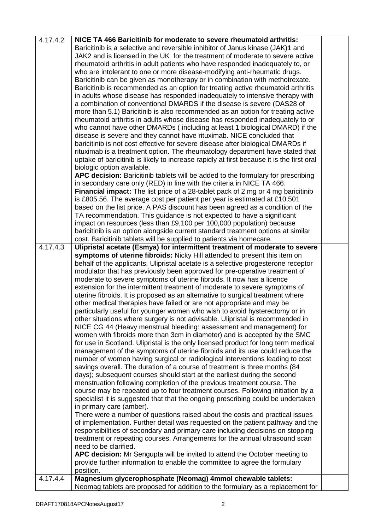| 4.17.4.2 | NICE TA 466 Baricitinib for moderate to severe rheumatoid arthritis:                                                                                           |  |
|----------|----------------------------------------------------------------------------------------------------------------------------------------------------------------|--|
|          | Baricitinib is a selective and reversible inhibitor of Janus kinase (JAK)1 and                                                                                 |  |
|          | JAK2 and is licensed in the UK for the treatment of moderate to severe active                                                                                  |  |
|          | rheumatoid arthritis in adult patients who have responded inadequately to, or                                                                                  |  |
|          | who are intolerant to one or more disease-modifying anti-rheumatic drugs.                                                                                      |  |
|          | Baricitinib can be given as monotherapy or in combination with methotrexate.                                                                                   |  |
|          | Baricitinib is recommended as an option for treating active rheumatoid arthritis                                                                               |  |
|          | in adults whose disease has responded inadequately to intensive therapy with                                                                                   |  |
|          | a combination of conventional DMARDS if the disease is severe (DAS28 of                                                                                        |  |
|          | more than 5.1) Baricitinib is also recommended as an option for treating active                                                                                |  |
|          | rheumatoid arthritis in adults whose disease has responded inadequately to or                                                                                  |  |
|          | who cannot have other DMARDs (including at least 1 biological DMARD) if the                                                                                    |  |
|          | disease is severe and they cannot have rituximab. NICE concluded that                                                                                          |  |
|          | baricitinib is not cost effective for severe disease after biological DMARDs if                                                                                |  |
|          | rituximab is a treatment option. The rheumatology department have stated that                                                                                  |  |
|          | uptake of baricitinib is likely to increase rapidly at first because it is the first oral                                                                      |  |
|          | biologic option available.                                                                                                                                     |  |
|          | APC decision: Baricitinib tablets will be added to the formulary for prescribing                                                                               |  |
|          | in secondary care only (RED) in line with the criteria in NICE TA 466.                                                                                         |  |
|          | <b>Financial impact:</b> The list price of a 28-tablet pack of 2 mg or 4 mg baricitinib                                                                        |  |
|          | is £805.56. The average cost per patient per year is estimated at £10,501                                                                                      |  |
|          | based on the list price. A PAS discount has been agreed as a condition of the                                                                                  |  |
|          | TA recommendation. This guidance is not expected to have a significant                                                                                         |  |
|          |                                                                                                                                                                |  |
|          | impact on resources (less than £9,100 per 100,000 population) because                                                                                          |  |
|          | baricitinib is an option alongside current standard treatment options at similar                                                                               |  |
| 4.17.4.3 | cost. Baricitinib tablets will be supplied to patients via homecare.<br>Ulipristal acetate (Esmya) for intermittent treatment of moderate to severe            |  |
|          | symptoms of uterine fibroids: Nicky Hill attended to present this item on                                                                                      |  |
|          | behalf of the applicants. Ulipristal acetate is a selective progesterone receptor                                                                              |  |
|          | modulator that has previously been approved for pre-operative treatment of                                                                                     |  |
|          | moderate to severe symptoms of uterine fibroids. It now has a licence                                                                                          |  |
|          | extension for the intermittent treatment of moderate to severe symptoms of                                                                                     |  |
|          | uterine fibroids. It is proposed as an alternative to surgical treatment where                                                                                 |  |
|          | other medical therapies have failed or are not appropriate and may be                                                                                          |  |
|          | particularly useful for younger women who wish to avoid hysterectomy or in                                                                                     |  |
|          | other situations where surgery is not advisable. Ulipristal is recommended in                                                                                  |  |
|          | NICE CG 44 (Heavy menstrual bleeding: assessment and management) for                                                                                           |  |
|          | women with fibroids more than 3cm in diameter) and is accepted by the SMC                                                                                      |  |
|          | for use in Scotland. Ulipristal is the only licensed product for long term medical                                                                             |  |
|          |                                                                                                                                                                |  |
|          | management of the symptoms of uterine fibroids and its use could reduce the<br>number of women having surgical or radiological interventions leading to cost   |  |
|          | savings overall. The duration of a course of treatment is three months (84                                                                                     |  |
|          | days); subsequent courses should start at the earliest during the second                                                                                       |  |
|          | menstruation following completion of the previous treatment course. The                                                                                        |  |
|          | course may be repeated up to four treatment courses. Following initiation by a                                                                                 |  |
|          | specialist it is suggested that that the ongoing prescribing could be undertaken                                                                               |  |
|          |                                                                                                                                                                |  |
|          | in primary care (amber).                                                                                                                                       |  |
|          | There were a number of questions raised about the costs and practical issues<br>of implementation. Further detail was requested on the patient pathway and the |  |
|          |                                                                                                                                                                |  |
|          | responsibilities of secondary and primary care including decisions on stopping                                                                                 |  |
|          | treatment or repeating courses. Arrangements for the annual ultrasound scan                                                                                    |  |
|          | need to be clarified.                                                                                                                                          |  |
|          | APC decision: Mr Sengupta will be invited to attend the October meeting to                                                                                     |  |
|          | provide further information to enable the committee to agree the formulary                                                                                     |  |
| 4.17.4.4 | position.                                                                                                                                                      |  |
|          | Magnesium glycerophosphate (Neomag) 4mmol chewable tablets:                                                                                                    |  |
|          | Neomag tablets are proposed for addition to the formulary as a replacement for                                                                                 |  |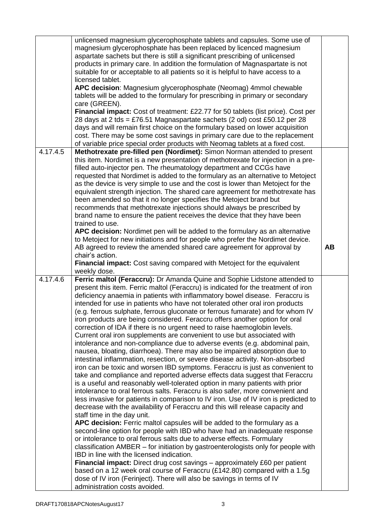|          | unlicensed magnesium glycerophosphate tablets and capsules. Some use of                                                                                  |           |
|----------|----------------------------------------------------------------------------------------------------------------------------------------------------------|-----------|
|          | magnesium glycerophosphate has been replaced by licenced magnesium                                                                                       |           |
|          | aspartate sachets but there is still a significant prescribing of unlicensed                                                                             |           |
|          | products in primary care. In addition the formulation of Magnaspartate is not                                                                            |           |
|          | suitable for or acceptable to all patients so it is helpful to have access to a                                                                          |           |
|          | licensed tablet.                                                                                                                                         |           |
|          | APC decision: Magnesium glycerophosphate (Neomag) 4mmol chewable                                                                                         |           |
|          | tablets will be added to the formulary for prescribing in primary or secondary                                                                           |           |
|          | care (GREEN).                                                                                                                                            |           |
|          | Financial impact: Cost of treatment: £22.77 for 50 tablets (list price). Cost per                                                                        |           |
|          | 28 days at 2 tds = £76.51 Magnaspartate sachets (2 od) cost £50.12 per 28                                                                                |           |
|          | days and will remain first choice on the formulary based on lower acquisition                                                                            |           |
|          | cost. There may be some cost savings in primary care due to the replacement                                                                              |           |
|          | of variable price special order products with Neomag tablets at a fixed cost.                                                                            |           |
| 4.17.4.5 | Methotrexate pre-filled pen (Nordimet): Simon Norman attended to present                                                                                 |           |
|          | this item. Nordimet is a new presentation of methotrexate for injection in a pre-                                                                        |           |
|          | filled auto-injector pen. The rheumatology department and CCGs have                                                                                      |           |
|          | requested that Nordimet is added to the formulary as an alternative to Metoject                                                                          |           |
|          | as the device is very simple to use and the cost is lower than Metoject for the                                                                          |           |
|          | equivalent strength injection. The shared care agreement for methotrexate has                                                                            |           |
|          | been amended so that it no longer specifies the Metoject brand but                                                                                       |           |
|          | recommends that methotrexate injections should always be prescribed by                                                                                   |           |
|          | brand name to ensure the patient receives the device that they have been                                                                                 |           |
|          | trained to use.                                                                                                                                          |           |
|          | APC decision: Nordimet pen will be added to the formulary as an alternative                                                                              |           |
|          | to Metoject for new initiations and for people who prefer the Nordimet device.                                                                           |           |
|          | AB agreed to review the amended shared care agreement for approval by                                                                                    | <b>AB</b> |
|          | chair's action.                                                                                                                                          |           |
|          | Financial impact: Cost saving compared with Metoject for the equivalent                                                                                  |           |
|          | weekly dose.                                                                                                                                             |           |
| 4.17.4.6 | Ferric maltol (Feraccru): Dr Amanda Quine and Sophie Lidstone attended to                                                                                |           |
|          | present this item. Ferric maltol (Feraccru) is indicated for the treatment of iron                                                                       |           |
|          | deficiency anaemia in patients with inflammatory bowel disease. Feraccru is                                                                              |           |
|          | intended for use in patients who have not tolerated other oral iron products                                                                             |           |
|          | (e.g. ferrous sulphate, ferrous gluconate or ferrous fumarate) and for whom IV                                                                           |           |
|          | iron products are being considered. Feraccru offers another option for oral                                                                              |           |
|          | correction of IDA if there is no urgent need to raise haemoglobin levels.                                                                                |           |
|          | Current oral iron supplements are convenient to use but associated with                                                                                  |           |
|          |                                                                                                                                                          |           |
|          | intolerance and non-compliance due to adverse events (e.g. abdominal pain,<br>nausea, bloating, diarrhoea). There may also be impaired absorption due to |           |
|          | intestinal inflammation, resection, or severe disease activity. Non-absorbed                                                                             |           |
|          | iron can be toxic and worsen IBD symptoms. Feraccru is just as convenient to                                                                             |           |
|          | take and compliance and reported adverse effects data suggest that Feraccru                                                                              |           |
|          | is a useful and reasonably well-tolerated option in many patients with prior                                                                             |           |
|          | intolerance to oral ferrous salts. Feraccru is also safer, more convenient and                                                                           |           |
|          | less invasive for patients in comparison to IV iron. Use of IV iron is predicted to                                                                      |           |
|          | decrease with the availability of Feraccru and this will release capacity and                                                                            |           |
|          | staff time in the day unit.                                                                                                                              |           |
|          | APC decision: Ferric maltol capsules will be added to the formulary as a                                                                                 |           |
|          | second-line option for people with IBD who have had an inadequate response                                                                               |           |
|          | or intolerance to oral ferrous salts due to adverse effects. Formulary                                                                                   |           |
|          | classification AMBER - for initiation by gastroenterologists only for people with                                                                        |           |
|          | IBD in line with the licensed indication.                                                                                                                |           |
|          | <b>Financial impact:</b> Direct drug cost savings – approximately £60 per patient                                                                        |           |
|          | based on a 12 week oral course of Feraccru (£142.80) compared with a 1.5g                                                                                |           |
|          | dose of IV iron (Ferinject). There will also be savings in terms of IV                                                                                   |           |
|          | administration costs avoided.                                                                                                                            |           |
|          |                                                                                                                                                          |           |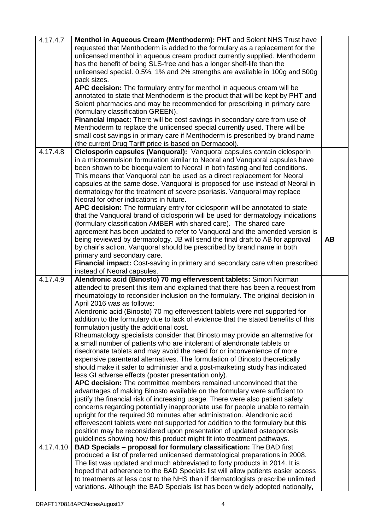| 4.17.4.7  | Menthol in Aqueous Cream (Menthoderm): PHT and Solent NHS Trust have<br>requested that Menthoderm is added to the formulary as a replacement for the<br>unlicensed menthol in aqueous cream product currently supplied. Menthoderm<br>has the benefit of being SLS-free and has a longer shelf-life than the<br>unlicensed special. 0.5%, 1% and 2% strengths are available in 100g and 500g |           |
|-----------|----------------------------------------------------------------------------------------------------------------------------------------------------------------------------------------------------------------------------------------------------------------------------------------------------------------------------------------------------------------------------------------------|-----------|
|           | pack sizes.<br>APC decision: The formulary entry for menthol in aqueous cream will be<br>annotated to state that Menthoderm is the product that will be kept by PHT and                                                                                                                                                                                                                      |           |
|           | Solent pharmacies and may be recommended for prescribing in primary care<br>(formulary classification GREEN).                                                                                                                                                                                                                                                                                |           |
|           | Financial impact: There will be cost savings in secondary care from use of<br>Menthoderm to replace the unlicensed special currently used. There will be                                                                                                                                                                                                                                     |           |
|           | small cost savings in primary care if Menthoderm is prescribed by brand name<br>(the current Drug Tariff price is based on Dermacool).                                                                                                                                                                                                                                                       |           |
| 4.17.4.8  | Ciclosporin capsules (Vanquoral): Vanquoral capsules contain ciclosporin                                                                                                                                                                                                                                                                                                                     |           |
|           | in a microemulsion formulation similar to Neoral and Vanquoral capsules have                                                                                                                                                                                                                                                                                                                 |           |
|           | been shown to be bioequivalent to Neoral in both fasting and fed conditions.                                                                                                                                                                                                                                                                                                                 |           |
|           | This means that Vanquoral can be used as a direct replacement for Neoral                                                                                                                                                                                                                                                                                                                     |           |
|           | capsules at the same dose. Vanquoral is proposed for use instead of Neoral in                                                                                                                                                                                                                                                                                                                |           |
|           | dermatology for the treatment of severe psoriasis. Vanquoral may replace                                                                                                                                                                                                                                                                                                                     |           |
|           | Neoral for other indications in future.                                                                                                                                                                                                                                                                                                                                                      |           |
|           | APC decision: The formulary entry for ciclosporin will be annotated to state                                                                                                                                                                                                                                                                                                                 |           |
|           | that the Vanquoral brand of ciclosporin will be used for dermatology indications                                                                                                                                                                                                                                                                                                             |           |
|           | (formulary classification AMBER with shared care). The shared care                                                                                                                                                                                                                                                                                                                           |           |
|           | agreement has been updated to refer to Vanquoral and the amended version is                                                                                                                                                                                                                                                                                                                  |           |
|           | being reviewed by dermatology. JB will send the final draft to AB for approval                                                                                                                                                                                                                                                                                                               | <b>AB</b> |
|           | by chair's action. Vanquoral should be prescribed by brand name in both                                                                                                                                                                                                                                                                                                                      |           |
|           | primary and secondary care.                                                                                                                                                                                                                                                                                                                                                                  |           |
|           | Financial impact: Cost-saving in primary and secondary care when prescribed                                                                                                                                                                                                                                                                                                                  |           |
|           | instead of Neoral capsules.                                                                                                                                                                                                                                                                                                                                                                  |           |
| 4.17.4.9  | Alendronic acid (Binosto) 70 mg effervescent tablets: Simon Norman                                                                                                                                                                                                                                                                                                                           |           |
|           | attended to present this item and explained that there has been a request from                                                                                                                                                                                                                                                                                                               |           |
|           | rheumatology to reconsider inclusion on the formulary. The original decision in<br>April 2016 was as follows:                                                                                                                                                                                                                                                                                |           |
|           | Alendronic acid (Binosto) 70 mg effervescent tablets were not supported for                                                                                                                                                                                                                                                                                                                  |           |
|           | addition to the formulary due to lack of evidence that the stated benefits of this                                                                                                                                                                                                                                                                                                           |           |
|           | formulation justify the additional cost.                                                                                                                                                                                                                                                                                                                                                     |           |
|           | Rheumatology specialists consider that Binosto may provide an alternative for                                                                                                                                                                                                                                                                                                                |           |
|           | a small number of patients who are intolerant of alendronate tablets or                                                                                                                                                                                                                                                                                                                      |           |
|           | risedronate tablets and may avoid the need for or inconvenience of more                                                                                                                                                                                                                                                                                                                      |           |
|           | expensive parenteral alternatives. The formulation of Binosto theoretically                                                                                                                                                                                                                                                                                                                  |           |
|           | should make it safer to administer and a post-marketing study has indicated                                                                                                                                                                                                                                                                                                                  |           |
|           | less GI adverse effects (poster presentation only).                                                                                                                                                                                                                                                                                                                                          |           |
|           | APC decision: The committee members remained unconvinced that the                                                                                                                                                                                                                                                                                                                            |           |
|           | advantages of making Binosto available on the formulary were sufficient to                                                                                                                                                                                                                                                                                                                   |           |
|           | justify the financial risk of increasing usage. There were also patient safety                                                                                                                                                                                                                                                                                                               |           |
|           | concerns regarding potentially inappropriate use for people unable to remain                                                                                                                                                                                                                                                                                                                 |           |
|           | upright for the required 30 minutes after administration. Alendronic acid                                                                                                                                                                                                                                                                                                                    |           |
|           | effervescent tablets were not supported for addition to the formulary but this                                                                                                                                                                                                                                                                                                               |           |
|           | position may be reconsidered upon presentation of updated osteoporosis                                                                                                                                                                                                                                                                                                                       |           |
| 4.17.4.10 | guidelines showing how this product might fit into treatment pathways.                                                                                                                                                                                                                                                                                                                       |           |
|           | <b>BAD Specials - proposal for formulary classification:</b> The BAD first                                                                                                                                                                                                                                                                                                                   |           |
|           | produced a list of preferred unlicensed dermatological preparations in 2008.                                                                                                                                                                                                                                                                                                                 |           |
|           | The list was updated and much abbreviated to forty products in 2014. It is                                                                                                                                                                                                                                                                                                                   |           |
|           | hoped that adherence to the BAD Specials list will allow patients easier access<br>to treatments at less cost to the NHS than if dermatologists prescribe unlimited                                                                                                                                                                                                                          |           |
|           | variations. Although the BAD Specials list has been widely adopted nationally,                                                                                                                                                                                                                                                                                                               |           |
|           |                                                                                                                                                                                                                                                                                                                                                                                              |           |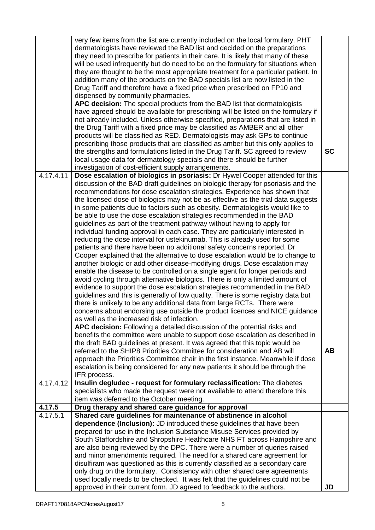|           | very few items from the list are currently included on the local formulary. PHT<br>dermatologists have reviewed the BAD list and decided on the preparations<br>they need to prescribe for patients in their care. It is likely that many of these<br>will be used infrequently but do need to be on the formulary for situations when<br>they are thought to be the most appropriate treatment for a particular patient. In<br>addition many of the products on the BAD specials list are now listed in the |           |
|-----------|--------------------------------------------------------------------------------------------------------------------------------------------------------------------------------------------------------------------------------------------------------------------------------------------------------------------------------------------------------------------------------------------------------------------------------------------------------------------------------------------------------------|-----------|
|           | Drug Tariff and therefore have a fixed price when prescribed on FP10 and                                                                                                                                                                                                                                                                                                                                                                                                                                     |           |
|           | dispensed by community pharmacies.<br>APC decision: The special products from the BAD list that dermatologists                                                                                                                                                                                                                                                                                                                                                                                               |           |
|           | have agreed should be available for prescribing will be listed on the formulary if                                                                                                                                                                                                                                                                                                                                                                                                                           |           |
|           | not already included. Unless otherwise specified, preparations that are listed in<br>the Drug Tariff with a fixed price may be classified as AMBER and all other                                                                                                                                                                                                                                                                                                                                             |           |
|           | products will be classified as RED. Dermatologists may ask GPs to continue                                                                                                                                                                                                                                                                                                                                                                                                                                   |           |
|           | prescribing those products that are classified as amber but this only applies to                                                                                                                                                                                                                                                                                                                                                                                                                             |           |
|           | the strengths and formulations listed in the Drug Tariff. SC agreed to review<br>local usage data for dermatology specials and there should be further                                                                                                                                                                                                                                                                                                                                                       | <b>SC</b> |
|           | investigation of cost-efficient supply arrangements.                                                                                                                                                                                                                                                                                                                                                                                                                                                         |           |
| 4.17.4.11 | Dose escalation of biologics in psoriasis: Dr Hywel Cooper attended for this                                                                                                                                                                                                                                                                                                                                                                                                                                 |           |
|           | discussion of the BAD draft guidelines on biologic therapy for psoriasis and the<br>recommendations for dose escalation strategies. Experience has shown that                                                                                                                                                                                                                                                                                                                                                |           |
|           | the licensed dose of biologics may not be as effective as the trial data suggests                                                                                                                                                                                                                                                                                                                                                                                                                            |           |
|           | in some patients due to factors such as obesity. Dermatologists would like to<br>be able to use the dose escalation strategies recommended in the BAD                                                                                                                                                                                                                                                                                                                                                        |           |
|           | guidelines as part of the treatment pathway without having to apply for                                                                                                                                                                                                                                                                                                                                                                                                                                      |           |
|           | individual funding approval in each case. They are particularly interested in                                                                                                                                                                                                                                                                                                                                                                                                                                |           |
|           | reducing the dose interval for ustekinumab. This is already used for some<br>patients and there have been no additional safety concerns reported. Dr                                                                                                                                                                                                                                                                                                                                                         |           |
|           | Cooper explained that the alternative to dose escalation would be to change to                                                                                                                                                                                                                                                                                                                                                                                                                               |           |
|           | another biologic or add other disease-modifying drugs. Dose escalation may                                                                                                                                                                                                                                                                                                                                                                                                                                   |           |
|           | enable the disease to be controlled on a single agent for longer periods and<br>avoid cycling through alternative biologics. There is only a limited amount of                                                                                                                                                                                                                                                                                                                                               |           |
|           | evidence to support the dose escalation strategies recommended in the BAD                                                                                                                                                                                                                                                                                                                                                                                                                                    |           |
|           | guidelines and this is generally of low quality. There is some registry data but                                                                                                                                                                                                                                                                                                                                                                                                                             |           |
|           | there is unlikely to be any additional data from large RCTs. There were<br>concerns about endorsing use outside the product licences and NICE guidance                                                                                                                                                                                                                                                                                                                                                       |           |
|           | as well as the increased risk of infection.                                                                                                                                                                                                                                                                                                                                                                                                                                                                  |           |
|           | APC decision: Following a detailed discussion of the potential risks and                                                                                                                                                                                                                                                                                                                                                                                                                                     |           |
|           | benefits the committee were unable to support dose escalation as described in<br>the draft BAD guidelines at present. It was agreed that this topic would be                                                                                                                                                                                                                                                                                                                                                 |           |
|           | referred to the SHIP8 Priorities Committee for consideration and AB will                                                                                                                                                                                                                                                                                                                                                                                                                                     | <b>AB</b> |
|           | approach the Priorities Committee chair in the first instance. Meanwhile if dose                                                                                                                                                                                                                                                                                                                                                                                                                             |           |
|           | escalation is being considered for any new patients it should be through the<br>IFR process.                                                                                                                                                                                                                                                                                                                                                                                                                 |           |
| 4.17.4.12 | Insulin degludec - request for formulary reclassification: The diabetes                                                                                                                                                                                                                                                                                                                                                                                                                                      |           |
|           | specialists who made the request were not available to attend therefore this                                                                                                                                                                                                                                                                                                                                                                                                                                 |           |
| 4.17.5    | item was deferred to the October meeting.<br>Drug therapy and shared care guidance for approval                                                                                                                                                                                                                                                                                                                                                                                                              |           |
| 4.17.5.1  | Shared care guidelines for maintenance of abstinence in alcohol                                                                                                                                                                                                                                                                                                                                                                                                                                              |           |
|           | dependence (Inclusion): JD introduced these guidelines that have been                                                                                                                                                                                                                                                                                                                                                                                                                                        |           |
|           | prepared for use in the Inclusion Substance Misuse Services provided by                                                                                                                                                                                                                                                                                                                                                                                                                                      |           |
|           | South Staffordshire and Shropshire Healthcare NHS FT across Hampshire and                                                                                                                                                                                                                                                                                                                                                                                                                                    |           |
|           | are also being reviewed by the DPC. There were a number of queries raised<br>and minor amendments required. The need for a shared care agreement for                                                                                                                                                                                                                                                                                                                                                         |           |
|           | disulfiram was questioned as this is currently classified as a secondary care                                                                                                                                                                                                                                                                                                                                                                                                                                |           |
|           | only drug on the formulary. Consistency with other shared care agreements                                                                                                                                                                                                                                                                                                                                                                                                                                    |           |
|           | used locally needs to be checked. It was felt that the guidelines could not be                                                                                                                                                                                                                                                                                                                                                                                                                               |           |
|           | approved in their current form. JD agreed to feedback to the authors.                                                                                                                                                                                                                                                                                                                                                                                                                                        | JD        |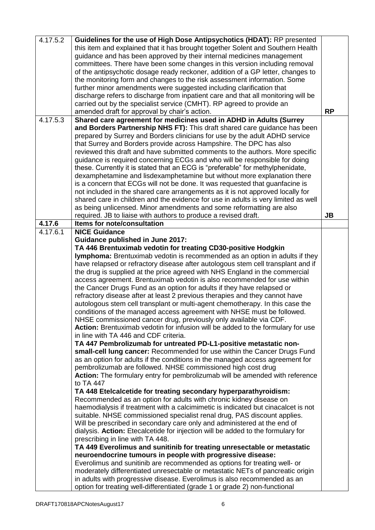| 4.17.5.2 | Guidelines for the use of High Dose Antipsychotics (HDAT): RP presented            |           |
|----------|------------------------------------------------------------------------------------|-----------|
|          | this item and explained that it has brought together Solent and Southern Health    |           |
|          |                                                                                    |           |
|          | guidance and has been approved by their internal medicines management              |           |
|          | committees. There have been some changes in this version including removal         |           |
|          | of the antipsychotic dosage ready reckoner, addition of a GP letter, changes to    |           |
|          | the monitoring form and changes to the risk assessment information. Some           |           |
|          | further minor amendments were suggested including clarification that               |           |
|          | discharge refers to discharge from inpatient care and that all monitoring will be  |           |
|          | carried out by the specialist service (CMHT). RP agreed to provide an              |           |
|          | amended draft for approval by chair's action.                                      | <b>RP</b> |
| 4.17.5.3 | Shared care agreement for medicines used in ADHD in Adults (Surrey                 |           |
|          | and Borders Partnership NHS FT): This draft shared care guidance has been          |           |
|          | prepared by Surrey and Borders clinicians for use by the adult ADHD service        |           |
|          | that Surrey and Borders provide across Hampshire. The DPC has also                 |           |
|          |                                                                                    |           |
|          | reviewed this draft and have submitted comments to the authors. More specific      |           |
|          | guidance is required concerning ECGs and who will be responsible for doing         |           |
|          | these. Currently it is stated that an ECG is "preferable" for methylphenidate,     |           |
|          | dexamphetamine and lisdexamphetamine but without more explanation there            |           |
|          | is a concern that ECGs will not be done. It was requested that guanfacine is       |           |
|          | not included in the shared care arrangements as it is not approved locally for     |           |
|          | shared care in children and the evidence for use in adults is very limited as well |           |
|          | as being unlicensed. Minor amendments and some reformatting are also               |           |
|          | required. JB to liaise with authors to produce a revised draft.                    | <b>JB</b> |
| 4.17.6   | Items for note/consultation                                                        |           |
| 4.17.6.1 | <b>NICE Guidance</b>                                                               |           |
|          | <b>Guidance published in June 2017:</b>                                            |           |
|          | TA 446 Brentuximab vedotin for treating CD30-positive Hodgkin                      |           |
|          | Iymphoma: Brentuximab vedotin is recommended as an option in adults if they        |           |
|          | have relapsed or refractory disease after autologous stem cell transplant and if   |           |
|          | the drug is supplied at the price agreed with NHS England in the commercial        |           |
|          | access agreement. Brentuximab vedotin is also recommended for use within           |           |
|          | the Cancer Drugs Fund as an option for adults if they have relapsed or             |           |
|          | refractory disease after at least 2 previous therapies and they cannot have        |           |
|          |                                                                                    |           |
|          | autologous stem cell transplant or multi-agent chemotherapy. In this case the      |           |
|          | conditions of the managed access agreement with NHSE must be followed.             |           |
|          | NHSE commissioned cancer drug, previously only available via CDF.                  |           |
|          | Action: Brentuximab vedotin for infusion will be added to the formulary for use    |           |
|          | in line with TA 446 and CDF criteria.                                              |           |
|          | TA 447 Pembrolizumab for untreated PD-L1-positive metastatic non-                  |           |
|          | small-cell lung cancer: Recommended for use within the Cancer Drugs Fund           |           |
|          | as an option for adults if the conditions in the managed access agreement for      |           |
|          | pembrolizumab are followed. NHSE commissioned high cost drug                       |           |
|          | Action: The formulary entry for pembrolizumab will be amended with reference       |           |
|          | to TA 447                                                                          |           |
|          | TA 448 Etelcalcetide for treating secondary hyperparathyroidism:                   |           |
|          | Recommended as an option for adults with chronic kidney disease on                 |           |
|          | haemodialysis if treatment with a calcimimetic is indicated but cinacalcet is not  |           |
|          | suitable. NHSE commissioned specialist renal drug, PAS discount applies.           |           |
|          | Will be prescribed in secondary care only and administered at the end of           |           |
|          | dialysis. Action: Etecalcetide for injection will be added to the formulary for    |           |
|          | prescribing in line with TA 448.                                                   |           |
|          | TA 449 Everolimus and sunitinib for treating unresectable or metastatic            |           |
|          | neuroendocrine tumours in people with progressive disease:                         |           |
|          | Everolimus and sunitinib are recommended as options for treating well- or          |           |
|          | moderately differentiated unresectable or metastatic NETs of pancreatic origin     |           |
|          |                                                                                    |           |
|          | in adults with progressive disease. Everolimus is also recommended as an           |           |
|          | option for treating well-differentiated (grade 1 or grade 2) non-functional        |           |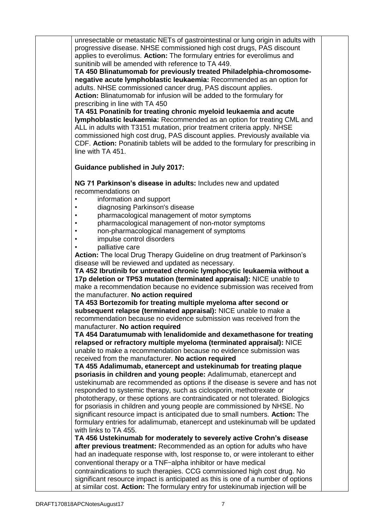unresectable or metastatic NETs of gastrointestinal or lung origin in adults with progressive disease. NHSE commissioned high cost drugs, PAS discount applies to everolimus. **Action:** The formulary entries for everolimus and sunitinib will be amended with reference to TA 449.

**TA 450 Blinatumomab for previously treated Philadelphia-chromosomenegative acute lymphoblastic leukaemia:** Recommended as an option for adults. NHSE commissioned cancer drug, PAS discount applies. **Action:** Blinatumomab for infusion will be added to the formulary for prescribing in line with TA 450

**TA 451 Ponatinib for treating chronic myeloid leukaemia and acute lymphoblastic leukaemia:** Recommended as an option for treating CML and ALL in adults with T3151 mutation, prior treatment criteria apply. NHSE commissioned high cost drug, PAS discount applies. Previously available via CDF. **Action:** Ponatinib tablets will be added to the formulary for prescribing in line with TA 451.

## **Guidance published in July 2017:**

**NG 71 Parkinson's disease in adults:** Includes new and updated recommendations on

- information and support
- diagnosing Parkinson's disease
- pharmacological management of motor symptoms
- pharmacological management of non-motor symptoms
- non-pharmacological management of symptoms
- impulse control disorders
- palliative care

**Action:** The local Drug Therapy Guideline on drug treatment of Parkinson's disease will be reviewed and updated as necessary.

**TA 452 Ibrutinib for untreated chronic lymphocytic leukaemia without a 17p deletion or TP53 mutation (terminated appraisal):** NICE unable to make a recommendation because no evidence submission was received from the manufacturer. **No action required**

**TA 453 Bortezomib for treating multiple myeloma after second or subsequent relapse (terminated appraisal):** NICE unable to make a recommendation because no evidence submission was received from the manufacturer. **No action required**

**TA 454 Daratumumab with lenalidomide and dexamethasone for treating relapsed or refractory multiple myeloma (terminated appraisal):** NICE unable to make a recommendation because no evidence submission was received from the manufacturer. **No action required**

**TA 455 Adalimumab, etanercept and ustekinumab for treating plaque psoriasis in children and young people:** Adalimumab, etanercept and ustekinumab are recommended as options if the disease is severe and has not responded to systemic therapy, such as ciclosporin, methotrexate or phototherapy, or these options are contraindicated or not tolerated. Biologics for psoriasis in children and young people are commissioned by NHSE. No significant resource impact is anticipated due to small numbers. **Action:** The formulary entries for adalimumab, etanercept and ustekinumab will be updated with links to TA 455.

**TA 456 Ustekinumab for moderately to severely active Crohn's disease after previous treatment:** Recommended as an option for adults who have had an inadequate response with, lost response to, or were intolerant to either conventional therapy or a TNF-alpha inhibitor or have medical contraindications to such therapies. CCG commissioned high cost drug. No significant resource impact is anticipated as this is one of a number of options at similar cost. **Action:** The formulary entry for ustekinumab injection will be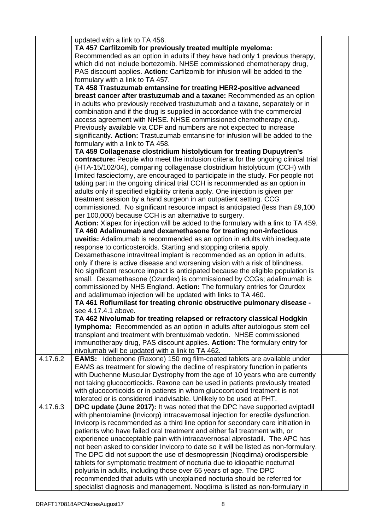|          | updated with a link to TA 456.<br>TA 457 Carfilzomib for previously treated multiple myeloma:<br>Recommended as an option in adults if they have had only 1 previous therapy,<br>which did not include bortezomib. NHSE commissioned chemotherapy drug,<br>PAS discount applies. Action: Carfilzomib for infusion will be added to the<br>formulary with a link to TA 457.<br>TA 458 Trastuzumab emtansine for treating HER2-positive advanced<br>breast cancer after trastuzumab and a taxane: Recommended as an option<br>in adults who previously received trastuzumab and a taxane, separately or in<br>combination and if the drug is supplied in accordance with the commercial<br>access agreement with NHSE. NHSE commissioned chemotherapy drug.<br>Previously available via CDF and numbers are not expected to increase<br>significantly. Action: Trastuzumab emtansine for infusion will be added to the<br>formulary with a link to TA 458.<br>TA 459 Collagenase clostridium histolyticum for treating Dupuytren's<br>contracture: People who meet the inclusion criteria for the ongoing clinical trial<br>(HTA-15/102/04), comparing collagenase clostridium histolyticum (CCH) with<br>limited fasciectomy, are encouraged to participate in the study. For people not<br>taking part in the ongoing clinical trial CCH is recommended as an option in<br>adults only if specified eligibility criteria apply. One injection is given per |  |
|----------|------------------------------------------------------------------------------------------------------------------------------------------------------------------------------------------------------------------------------------------------------------------------------------------------------------------------------------------------------------------------------------------------------------------------------------------------------------------------------------------------------------------------------------------------------------------------------------------------------------------------------------------------------------------------------------------------------------------------------------------------------------------------------------------------------------------------------------------------------------------------------------------------------------------------------------------------------------------------------------------------------------------------------------------------------------------------------------------------------------------------------------------------------------------------------------------------------------------------------------------------------------------------------------------------------------------------------------------------------------------------------------------------------------------------------------------------------------|--|
|          | treatment session by a hand surgeon in an outpatient setting. CCG<br>commissioned. No significant resource impact is anticipated (less than £9,100<br>per 100,000) because CCH is an alternative to surgery.                                                                                                                                                                                                                                                                                                                                                                                                                                                                                                                                                                                                                                                                                                                                                                                                                                                                                                                                                                                                                                                                                                                                                                                                                                               |  |
|          | Action: Xiapex for injection will be added to the formulary with a link to TA 459.<br>TA 460 Adalimumab and dexamethasone for treating non-infectious<br>uveitis: Adalimumab is recommended as an option in adults with inadequate<br>response to corticosteroids. Starting and stopping criteria apply.                                                                                                                                                                                                                                                                                                                                                                                                                                                                                                                                                                                                                                                                                                                                                                                                                                                                                                                                                                                                                                                                                                                                                   |  |
|          | Dexamethasone intravitreal implant is recommended as an option in adults,<br>only if there is active disease and worsening vision with a risk of blindness.<br>No significant resource impact is anticipated because the eligible population is<br>small. Dexamethasone (Ozurdex) is commissioned by CCGs; adalimumab is<br>commissioned by NHS England. Action: The formulary entries for Ozurdex<br>and adalimumab injection will be updated with links to TA 460.                                                                                                                                                                                                                                                                                                                                                                                                                                                                                                                                                                                                                                                                                                                                                                                                                                                                                                                                                                                       |  |
|          | TA 461 Roflumilast for treating chronic obstructive pulmonary disease -<br>see 4.17.4.1 above.                                                                                                                                                                                                                                                                                                                                                                                                                                                                                                                                                                                                                                                                                                                                                                                                                                                                                                                                                                                                                                                                                                                                                                                                                                                                                                                                                             |  |
|          | TA 462 Nivolumab for treating relapsed or refractory classical Hodgkin<br>Iymphoma: Recommended as an option in adults after autologous stem cell<br>transplant and treatment with brentuximab vedotin. NHSE commissioned<br>immunotherapy drug, PAS discount applies. Action: The formulary entry for<br>nivolumab will be updated with a link to TA 462.                                                                                                                                                                                                                                                                                                                                                                                                                                                                                                                                                                                                                                                                                                                                                                                                                                                                                                                                                                                                                                                                                                 |  |
| 4.17.6.2 | <b>EAMS:</b> Idebenone (Raxone) 150 mg film-coated tablets are available under<br>EAMS as treatment for slowing the decline of respiratory function in patients<br>with Duchenne Muscular Dystrophy from the age of 10 years who are currently<br>not taking glucocorticoids. Raxone can be used in patients previously treated                                                                                                                                                                                                                                                                                                                                                                                                                                                                                                                                                                                                                                                                                                                                                                                                                                                                                                                                                                                                                                                                                                                            |  |
|          | with glucocorticoids or in patients in whom glucocorticoid treatment is not<br>tolerated or is considered inadvisable. Unlikely to be used at PHT.                                                                                                                                                                                                                                                                                                                                                                                                                                                                                                                                                                                                                                                                                                                                                                                                                                                                                                                                                                                                                                                                                                                                                                                                                                                                                                         |  |
| 4.17.6.3 | DPC update (June 2017): It was noted that the DPC have supported aviptadil                                                                                                                                                                                                                                                                                                                                                                                                                                                                                                                                                                                                                                                                                                                                                                                                                                                                                                                                                                                                                                                                                                                                                                                                                                                                                                                                                                                 |  |
|          | with phentolamine (Invicorp) intracavernosal injection for erectile dysfunction.<br>Invicorp is recommended as a third line option for secondary care initiation in<br>patients who have failed oral treatment and either fail treatment with, or<br>experience unacceptable pain with intracavernosal alprostadil. The APC has<br>not been asked to consider Invicorp to date so it will be listed as non-formulary.<br>The DPC did not support the use of desmopressin (Nogdirna) orodispersible<br>tablets for symptomatic treatment of nocturia due to idiopathic nocturnal                                                                                                                                                                                                                                                                                                                                                                                                                                                                                                                                                                                                                                                                                                                                                                                                                                                                            |  |
|          | polyuria in adults, including those over 65 years of age. The DPC<br>recommended that adults with unexplained nocturia should be referred for<br>specialist diagnosis and management. Nogdirna is listed as non-formulary in                                                                                                                                                                                                                                                                                                                                                                                                                                                                                                                                                                                                                                                                                                                                                                                                                                                                                                                                                                                                                                                                                                                                                                                                                               |  |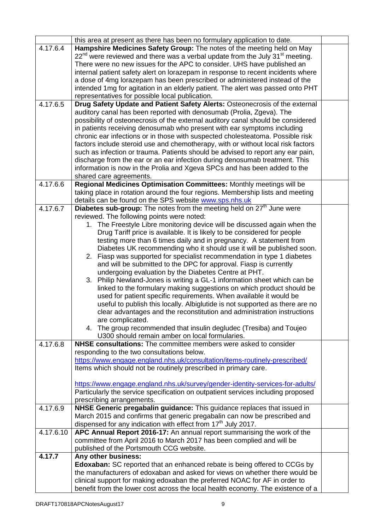|           | this area at present as there has been no formulary application to date.                   |  |
|-----------|--------------------------------------------------------------------------------------------|--|
| 4.17.6.4  | Hampshire Medicines Safety Group: The notes of the meeting held on May                     |  |
|           | $22nd$ were reviewed and there was a verbal update from the July 31 <sup>st</sup> meeting. |  |
|           | There were no new issues for the APC to consider. UHS have published an                    |  |
|           | internal patient safety alert on lorazepam in response to recent incidents where           |  |
|           | a dose of 4mg lorazepam has been prescribed or administered instead of the                 |  |
|           | intended 1mg for agitation in an elderly patient. The alert was passed onto PHT            |  |
|           | representatives for possible local publication.                                            |  |
| 4.17.6.5  | Drug Safety Update and Patient Safety Alerts: Osteonecrosis of the external                |  |
|           | auditory canal has been reported with denosumab (Prolia, Zgeva). The                       |  |
|           | possibility of osteonecrosis of the external auditory canal should be considered           |  |
|           | in patients receiving denosumab who present with ear symptoms including                    |  |
|           |                                                                                            |  |
|           | chronic ear infections or in those with suspected cholesteatoma. Possible risk             |  |
|           | factors include steroid use and chemotherapy, with or without local risk factors           |  |
|           | such as infection or trauma. Patients should be advised to report any ear pain,            |  |
|           | discharge from the ear or an ear infection during denosumab treatment. This                |  |
|           | information is now in the Prolia and Xgeva SPCs and has been added to the                  |  |
|           | shared care agreements.                                                                    |  |
| 4.17.6.6  | Regional Medicines Optimisation Committees: Monthly meetings will be                       |  |
|           | taking place in rotation around the four regions. Membership lists and meeting             |  |
|           | details can be found on the SPS website www.sps.nhs.uk                                     |  |
| 4.17.6.7  | Diabetes sub-group: The notes from the meeting held on 27 <sup>th</sup> June were          |  |
|           | reviewed. The following points were noted:                                                 |  |
|           | The Freestyle Libre monitoring device will be discussed again when the<br>1.               |  |
|           | Drug Tariff price is available. It is likely to be considered for people                   |  |
|           | testing more than 6 times daily and in pregnancy. A statement from                         |  |
|           | Diabetes UK recommending who it should use it will be published soon.                      |  |
|           | Fiasp was supported for specialist recommendation in type 1 diabetes<br>2.                 |  |
|           | and will be submitted to the DPC for approval. Fiasp is currently                          |  |
|           | undergoing evaluation by the Diabetes Centre at PHT.                                       |  |
|           | Philip Newland-Jones is writing a GL-1 information sheet which can be<br>3.                |  |
|           | linked to the formulary making suggestions on which product should be                      |  |
|           | used for patient specific requirements. When available it would be                         |  |
|           | useful to publish this locally. Albiglutide is not supported as there are no               |  |
|           |                                                                                            |  |
|           | clear advantages and the reconstitution and administration instructions                    |  |
|           | are complicated.                                                                           |  |
|           | 4. The group recommended that insulin degludec (Tresiba) and Toujeo                        |  |
|           | U300 should remain amber on local formularies.                                             |  |
| 4.17.6.8  | NHSE consultations: The committee members were asked to consider                           |  |
|           | responding to the two consultations below.                                                 |  |
|           | https://www.engage.england.nhs.uk/consultation/items-routinely-prescribed/                 |  |
|           | Items which should not be routinely prescribed in primary care.                            |  |
|           |                                                                                            |  |
|           | https://www.engage.england.nhs.uk/survey/gender-identity-services-for-adults/              |  |
|           | Particularly the service specification on outpatient services including proposed           |  |
|           | prescribing arrangements.                                                                  |  |
| 4.17.6.9  | NHSE Generic pregabalin guidance: This guidance replaces that issued in                    |  |
|           | March 2015 and confirms that generic pregabalin can now be prescribed and                  |  |
|           | dispensed for any indication with effect from 17 <sup>th</sup> July 2017.                  |  |
| 4.17.6.10 | APC Annual Report 2016-17: An annual report summarising the work of the                    |  |
|           | committee from April 2016 to March 2017 has been complied and will be                      |  |
|           | published of the Portsmouth CCG website.                                                   |  |
| 4.17.7    | Any other business:                                                                        |  |
|           | <b>Edoxaban:</b> SC reported that an enhanced rebate is being offered to CCGs by           |  |
|           | the manufacturers of edoxaban and asked for views on whether there would be                |  |
|           | clinical support for making edoxaban the preferred NOAC for AF in order to                 |  |
|           | benefit from the lower cost across the local health economy. The existence of a            |  |
|           |                                                                                            |  |